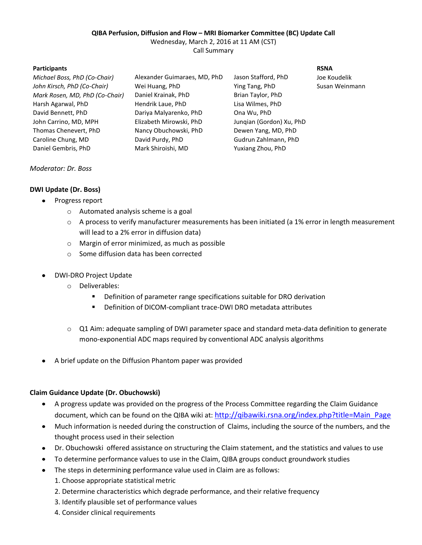#### **QIBA Perfusion, Diffusion and Flow – MRI Biomarker Committee (BC) Update Call**

Wednesday, March 2, 2016 at 11 AM (CST)

Call Summary

| <b>Participants</b>            |                              |                          | <b>RSNA</b> |
|--------------------------------|------------------------------|--------------------------|-------------|
| Michael Boss, PhD (Co-Chair)   | Alexander Guimaraes, MD, PhD | Jason Stafford, PhD      | Joe Ko      |
| John Kirsch, PhD (Co-Chair)    | Wei Huang, PhD               | Ying Tang, PhD           | Susan       |
| Mark Rosen, MD, PhD (Co-Chair) | Daniel Krainak, PhD          | Brian Taylor, PhD        |             |
| Harsh Agarwal, PhD             | Hendrik Laue, PhD            | Lisa Wilmes, PhD         |             |
| David Bennett, PhD             | Dariya Malyarenko, PhD       | Ona Wu, PhD              |             |
| John Carrino, MD, MPH          | Elizabeth Mirowski, PhD      | Jungian (Gordon) Xu, PhD |             |
| Thomas Chenevert, PhD          | Nancy Obuchowski, PhD        | Dewen Yang, MD, PhD      |             |
| Caroline Chung, MD             | David Purdy, PhD             | Gudrun Zahlmann, PhD     |             |
| Daniel Gembris, PhD            | Mark Shiroishi, MD           | Yuxiang Zhou, PhD        |             |
|                                |                              |                          |             |

Joe Koudelik **Susan Weinmann** 

## *Moderator: Dr. Boss*

## **DWI Update (Dr. Boss)**

- Progress report  $\bullet$ 
	- o Automated analysis scheme is a goal
	- o A process to verify manufacturer measurements has been initiated (a 1% error in length measurement will lead to a 2% error in diffusion data)
	- o Margin of error minimized, as much as possible
	- o Some diffusion data has been corrected
- DWI-DRO Project Update
	- o Deliverables:
		- **Definition of parameter range specifications suitable for DRO derivation**
		- Definition of DICOM-compliant trace-DWI DRO metadata attributes
	- o Q1 Aim: adequate sampling of DWI parameter space and standard meta-data definition to generate mono-exponential ADC maps required by conventional ADC analysis algorithms
- A brief update on the Diffusion Phantom paper was provided

## **Claim Guidance Update (Dr. Obuchowski)**

- A progress update was provided on the progress of the Process Committee regarding the Claim Guidance document, which can be found on the QIBA wiki at: [http://qibawiki.rsna.org/index.php?title=Main\\_Page](http://qibawiki.rsna.org/index.php?title=Main_Page)
- Much information is needed during the construction of Claims, including the source of the numbers, and the  $\bullet$ thought process used in their selection
- Dr. Obuchowski offered assistance on structuring the Claim statement, and the statistics and values to use
- To determine performance values to use in the Claim, QIBA groups conduct groundwork studies  $\bullet$
- The steps in determining performance value used in Claim are as follows:  $\bullet$ 
	- 1. Choose appropriate statistical metric
	- 2. Determine characteristics which degrade performance, and their relative frequency
	- 3. Identify plausible set of performance values
	- 4. Consider clinical requirements